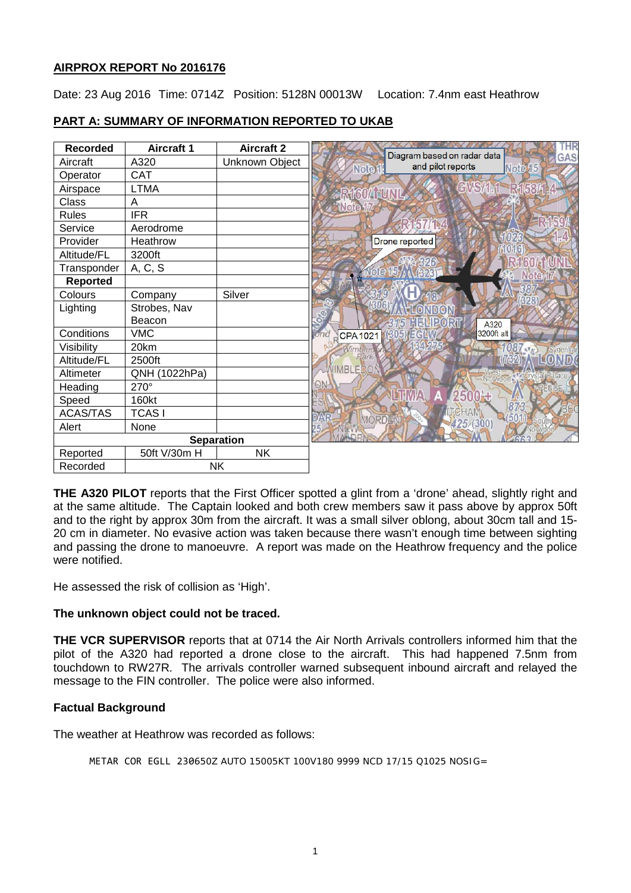### **AIRPROX REPORT No 2016176**

Date: 23 Aug 2016 Time: 0714Z Position: 5128N 00013W Location: 7.4nm east Heathrow

## **PART A: SUMMARY OF INFORMATION REPORTED TO UKAB**

| <b>Recorded</b>   | <b>Aircraft 1</b> | <b>Aircraft 2</b> | THR                                                                                 |
|-------------------|-------------------|-------------------|-------------------------------------------------------------------------------------|
| Aircraft          | A320              | Unknown Object    | Diagram based on radar data<br>GAS<br>and pilot reports<br><b>Note 15</b><br>Note 1 |
| Operator          | <b>CAT</b>        |                   |                                                                                     |
| Airspace          | <b>LTMA</b>       |                   | GVSM.1 R153M.4<br><b>* RIGOA FUNL</b>                                               |
| Class             | A                 |                   | Noter                                                                               |
| <b>Rules</b>      | <b>IFR</b>        |                   |                                                                                     |
| Service           | Aerodrome         |                   |                                                                                     |
| Provider          | Heathrow          |                   | Drone reported                                                                      |
| Altitude/FL       | 3200ft            |                   |                                                                                     |
| Transponder       | A, C, S           |                   |                                                                                     |
| <b>Reported</b>   |                   |                   | Note                                                                                |
| Colours           | Company           | Silver            |                                                                                     |
| Lighting          | Strobes, Nav      |                   | VDON<br>о                                                                           |
|                   | Beacon            |                   | HELIPORT<br>A320                                                                    |
| Conditions        | <b>VMC</b>        |                   | 3200ft alt<br>$(305)$ EGNM<br>iond<br><b>CPA1021</b>                                |
| Visibility        | 20km              |                   | 1087<br>denha                                                                       |
| Altitude/FL       | 2500ft            |                   | (7324)                                                                              |
| Altimeter         | QNH (1022hPa)     |                   | VIMBLEDOI<br><b>IOIWOOD</b>                                                         |
| Heading           | 270°              |                   | ΘN                                                                                  |
| Speed             | 160kt             |                   | 25004<br>873                                                                        |
| <b>ACAS/TAS</b>   | <b>TCASI</b>      |                   | CHAM<br>MORDEN                                                                      |
| Alert             | None              |                   | 425/(300)                                                                           |
| <b>Separation</b> |                   |                   |                                                                                     |
| Reported          | 50ft V/30m H      | <b>NK</b>         |                                                                                     |
| Recorded          |                   | <b>NK</b>         |                                                                                     |

**THE A320 PILOT** reports that the First Officer spotted a glint from a 'drone' ahead, slightly right and at the same altitude. The Captain looked and both crew members saw it pass above by approx 50ft and to the right by approx 30m from the aircraft. It was a small silver oblong, about 30cm tall and 15- 20 cm in diameter. No evasive action was taken because there wasn't enough time between sighting and passing the drone to manoeuvre. A report was made on the Heathrow frequency and the police were notified.

He assessed the risk of collision as 'High'.

### **The unknown object could not be traced.**

**THE VCR SUPERVISOR** reports that at 0714 the Air North Arrivals controllers informed him that the pilot of the A320 had reported a drone close to the aircraft. This had happened 7.5nm from touchdown to RW27R. The arrivals controller warned subsequent inbound aircraft and relayed the message to the FIN controller. The police were also informed.

### **Factual Background**

The weather at Heathrow was recorded as follows:

METAR COR EGLL 230650Z AUTO 15005KT 100V180 9999 NCD 17/15 Q1025 NOSIG=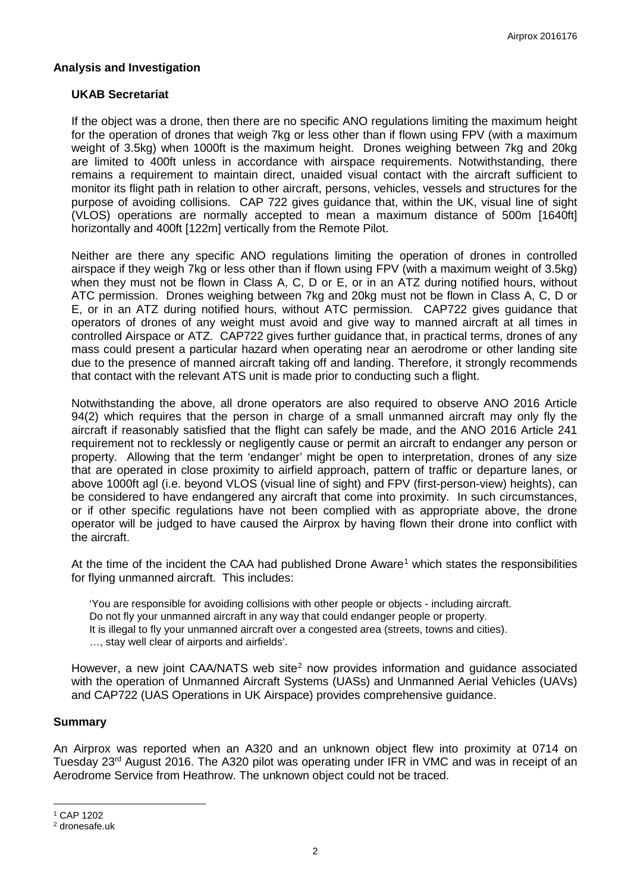### **Analysis and Investigation**

#### **UKAB Secretariat**

If the object was a drone, then there are no specific ANO regulations limiting the maximum height for the operation of drones that weigh 7kg or less other than if flown using FPV (with a maximum weight of 3.5kg) when 1000ft is the maximum height. Drones weighing between 7kg and 20kg are limited to 400ft unless in accordance with airspace requirements. Notwithstanding, there remains a requirement to maintain direct, unaided visual contact with the aircraft sufficient to monitor its flight path in relation to other aircraft, persons, vehicles, vessels and structures for the purpose of avoiding collisions. CAP 722 gives guidance that, within the UK, visual line of sight (VLOS) operations are normally accepted to mean a maximum distance of 500m [1640ft] horizontally and 400ft [122m] vertically from the Remote Pilot.

Neither are there any specific ANO regulations limiting the operation of drones in controlled airspace if they weigh 7kg or less other than if flown using FPV (with a maximum weight of 3.5kg) when they must not be flown in Class A, C, D or E, or in an ATZ during notified hours, without ATC permission. Drones weighing between 7kg and 20kg must not be flown in Class A, C, D or E, or in an ATZ during notified hours, without ATC permission. CAP722 gives guidance that operators of drones of any weight must avoid and give way to manned aircraft at all times in controlled Airspace or ATZ. CAP722 gives further guidance that, in practical terms, drones of any mass could present a particular hazard when operating near an aerodrome or other landing site due to the presence of manned aircraft taking off and landing. Therefore, it strongly recommends that contact with the relevant ATS unit is made prior to conducting such a flight.

Notwithstanding the above, all drone operators are also required to observe ANO 2016 Article 94(2) which requires that the person in charge of a small unmanned aircraft may only fly the aircraft if reasonably satisfied that the flight can safely be made, and the ANO 2016 Article 241 requirement not to recklessly or negligently cause or permit an aircraft to endanger any person or property. Allowing that the term 'endanger' might be open to interpretation, drones of any size that are operated in close proximity to airfield approach, pattern of traffic or departure lanes, or above 1000ft agl (i.e. beyond VLOS (visual line of sight) and FPV (first-person-view) heights), can be considered to have endangered any aircraft that come into proximity. In such circumstances, or if other specific regulations have not been complied with as appropriate above, the drone operator will be judged to have caused the Airprox by having flown their drone into conflict with the aircraft.

At the time of the incident the CAA had published Drone Aware<sup>[1](#page-1-0)</sup> which states the responsibilities for flying unmanned aircraft. This includes:

'You are responsible for avoiding collisions with other people or objects - including aircraft. Do not fly your unmanned aircraft in any way that could endanger people or property. It is illegal to fly your unmanned aircraft over a congested area (streets, towns and cities). …, stay well clear of airports and airfields'.

However, a new joint CAA/NATS web site<sup>[2](#page-1-1)</sup> now provides information and quidance associated with the operation of Unmanned Aircraft Systems (UASs) and Unmanned Aerial Vehicles (UAVs) and CAP722 (UAS Operations in UK Airspace) provides comprehensive guidance.

#### **Summary**

An Airprox was reported when an A320 and an unknown object flew into proximity at 0714 on Tuesday 23<sup>rd</sup> August 2016. The A320 pilot was operating under IFR in VMC and was in receipt of an Aerodrome Service from Heathrow. The unknown object could not be traced.

l

<span id="page-1-0"></span><sup>1</sup> CAP 1202

<span id="page-1-1"></span><sup>2</sup> dronesafe.uk